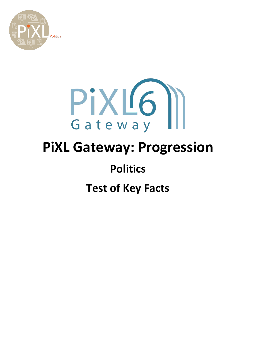



## **PiXL Gateway: Progression**

## **Politics**

## **Test of Key Facts**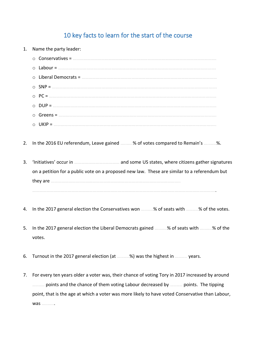## 10 key facts to learn for the start of the course

| 1. | Name the party leader:                                                                       |
|----|----------------------------------------------------------------------------------------------|
|    |                                                                                              |
|    |                                                                                              |
|    |                                                                                              |
|    |                                                                                              |
|    |                                                                                              |
|    |                                                                                              |
|    |                                                                                              |
|    |                                                                                              |
|    |                                                                                              |
| 2. | In the 2016 EU referendum, Leave gained % of votes compared to Remain's %.                   |
|    |                                                                                              |
| 3. |                                                                                              |
|    | on a petition for a public vote on a proposed new law. These are similar to a referendum but |
|    |                                                                                              |
|    |                                                                                              |
|    |                                                                                              |
| 4. | In the 2017 general election the Conservatives won % of seats with % of the votes.           |
|    |                                                                                              |
| 5. | In the 2017 general election the Liberal Democrats gained % of seats with % of the           |
|    | votes.                                                                                       |
|    |                                                                                              |

- 6. Turnout in the 2017 general election (at …..…..%) was the highest in …..….. years.
- 7. For every ten years older a voter was, their chance of voting Tory in 2017 increased by around …..….. points and the chance of them voting Labour decreased by …..….. points. The tipping point, that is the age at which a voter was more likely to have voted Conservative than Labour, was …..…...